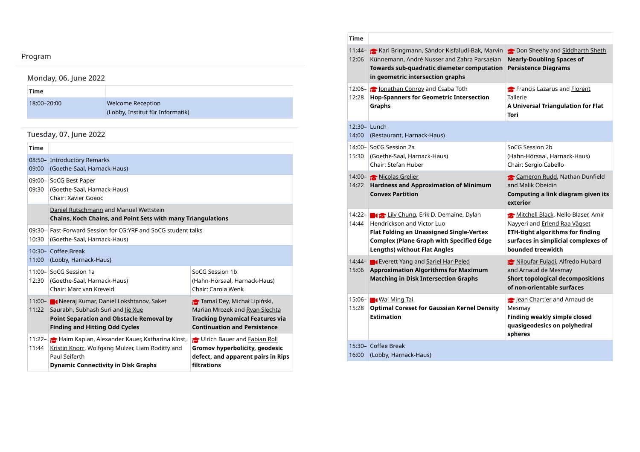## Program

# Monday, 06. June 2022

| Time        |                                                              |
|-------------|--------------------------------------------------------------|
| 18:00-20:00 | <b>Welcome Reception</b><br>(Lobby, Institut für Informatik) |

## Tuesday, 07. June 2022

| <b>Time</b>       |                                                                                                                                                                                               |                                                                                                                                                |  |
|-------------------|-----------------------------------------------------------------------------------------------------------------------------------------------------------------------------------------------|------------------------------------------------------------------------------------------------------------------------------------------------|--|
| 09:00             | 08:50- Introductory Remarks<br>(Goethe-Saal, Harnack-Haus)                                                                                                                                    |                                                                                                                                                |  |
| 09:30             | 09:00-SoCG Best Paper<br>(Goethe-Saal, Harnack-Haus)<br>Chair: Xavier Goaoc                                                                                                                   |                                                                                                                                                |  |
|                   | Daniel Rutschmann and Manuel Wettstein<br><b>Chains, Koch Chains, and Point Sets with many Triangulations</b>                                                                                 |                                                                                                                                                |  |
| $09:30-$<br>10:30 | Fast-Forward Session for CG:YRF and SoCG student talks<br>(Goethe-Saal, Harnack-Haus)                                                                                                         |                                                                                                                                                |  |
| 11:00             | 10:30- Coffee Break<br>(Lobby, Harnack-Haus)                                                                                                                                                  |                                                                                                                                                |  |
| 12:30             | 11:00-SoCG Session 1a<br>(Goethe-Saal, Harnack-Haus)<br>Chair: Marc van Kreveld                                                                                                               | SoCG Session 1b<br>(Hahn-Hörsaal, Harnack-Haus)<br>Chair: Carola Wenk                                                                          |  |
|                   | 11:00- <b>C</b> Neeraj Kumar, Daniel Lokshtanov, Saket<br>11:22 Saurabh, Subhash Suri and lie Xue<br><b>Point Separation and Obstacle Removal by</b><br><b>Finding and Hitting Odd Cycles</b> | Tamal Dey, Michał Lipiński,<br>Marian Mrozek and Ryan Slechta<br><b>Tracking Dynamical Features via</b><br><b>Continuation and Persistence</b> |  |
| 11:44             | 11:22- Haim Kaplan, Alexander Kauer, Katharina Klost,<br>Kristin Knorr, Wolfgang Mulzer, Liam Roditty and<br>Paul Seiferth<br><b>Dynamic Connectivity in Disk Graphs</b>                      | Ulrich Bauer and <b>Fabian Roll</b><br>Gromov hyperbolicity, geodesic<br>defect, and apparent pairs in Rips<br>filtrations                     |  |

|                                                                                                                     | <b>Time</b> |                                                                                                                                                                                                                                                                                            |                                                                                                                                                                            |
|---------------------------------------------------------------------------------------------------------------------|-------------|--------------------------------------------------------------------------------------------------------------------------------------------------------------------------------------------------------------------------------------------------------------------------------------------|----------------------------------------------------------------------------------------------------------------------------------------------------------------------------|
|                                                                                                                     |             | 11:44- <b>C</b> Karl Bringmann, Sándor Kisfaludi-Bak, Marvin <b>C</b> Don Sheehy and Siddharth Sheth<br>12:06 Künnemann, André Nusser and Zahra Parsaeian Nearly-Doubling Spaces of<br>Towards sub-quadratic diameter computation Persistence Diagrams<br>in geometric intersection graphs |                                                                                                                                                                            |
|                                                                                                                     | 12:28       | 12:06- <b>S</b> Jonathan Conroy and Csaba Toth<br><b>Hop-Spanners for Geometric Intersection</b><br>Graphs                                                                                                                                                                                 | Francis Lazarus and Florent<br>Tallerie<br>A Universal Triangulation for Flat<br>Tori                                                                                      |
|                                                                                                                     |             | 12:30- Lunch<br>14:00 (Restaurant, Harnack-Haus)                                                                                                                                                                                                                                           |                                                                                                                                                                            |
|                                                                                                                     | 15:30       | 14:00-SoCG Session 2a<br>(Goethe-Saal, Harnack-Haus)<br>Chair: Stefan Huber                                                                                                                                                                                                                | SoCG Session 2b<br>(Hahn-Hörsaal, Harnack-Haus)<br>Chair: Sergio Cabello                                                                                                   |
|                                                                                                                     |             | 14:00- Nicolas Grelier<br>14:22 Hardness and Approximation of Minimum<br><b>Convex Partition</b>                                                                                                                                                                                           | Cameron Rudd, Nathan Dunfield<br>and Malik Obeidin<br>Computing a link diagram given its<br>exterior                                                                       |
| ulations                                                                                                            | 14:44       | 14:22- <b>Comparison Lily Chung</b> , Erik D. Demaine, Dylan<br>Hendrickson and Victor Luo<br>Flat Folding an Unassigned Single-Vertex<br><b>Complex (Plane Graph with Specified Edge</b><br><b>Lengths) without Flat Angles</b>                                                           | Mitchell Black, Nello Blaser, Amir<br>Nayyeri and Erlend Raa Vågset<br><b>ETH-tight algorithms for finding</b><br>surfaces in simplicial complexes of<br>bounded treewidth |
| i Session 1b<br>n-Hörsaal, Harnack-Haus)<br>: Carola Wenk                                                           |             | 14:44- Geverett Yang and Sariel Har-Peled<br>15:06 Approximation Algorithms for Maximum<br><b>Matching in Disk Intersection Graphs</b>                                                                                                                                                     | Niloufar Fuladi, Alfredo Hubard<br>and Arnaud de Mesmay<br><b>Short topological decompositions</b><br>of non-orientable surfaces                                           |
| amal Dey, Michał Lipiński,<br>an Mrozek and Ryan Slechta<br>king Dynamical Features via<br>inuation and Persistence | 15:28       | 15:06- <b>1</b> Wai Ming Tai<br><b>Optimal Coreset for Gaussian Kernel Density</b><br><b>Estimation</b>                                                                                                                                                                                    | Jean Chartier and Arnaud de<br>Mesmay<br><b>Finding weakly simple closed</b><br>quasigeodesics on polyhedral<br>spheres                                                    |
| lrich Bauer and <b>Fabian Roll</b><br>nov hyperbolicity, geodesic<br>ct, and apparent pairs in Rips<br>.            |             | 15:30- Coffee Break<br>16:00 (Lobby, Harnack-Haus)                                                                                                                                                                                                                                         |                                                                                                                                                                            |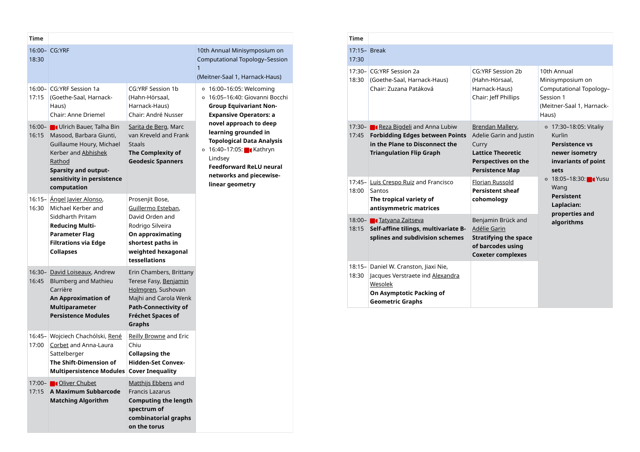|       | Time               |                                                                                                                                                               |                                                                                                                                                            |                                                                                                                                                                                                                                                                                                                                                      | <b>Time</b>       |                                                  |                                                                                                                                      |                                                                                                                 |                                                                                               |  |  |  |  |  |  |  |  |  |  |  |  |  |  |  |  |  |                                                                                                                                                              |
|-------|--------------------|---------------------------------------------------------------------------------------------------------------------------------------------------------------|------------------------------------------------------------------------------------------------------------------------------------------------------------|------------------------------------------------------------------------------------------------------------------------------------------------------------------------------------------------------------------------------------------------------------------------------------------------------------------------------------------------------|-------------------|--------------------------------------------------|--------------------------------------------------------------------------------------------------------------------------------------|-----------------------------------------------------------------------------------------------------------------|-----------------------------------------------------------------------------------------------|--|--|--|--|--|--|--|--|--|--|--|--|--|--|--|--|--|--------------------------------------------------------------------------------------------------------------------------------------------------------------|
| 18:30 |                    | 16:00- CG:YRF                                                                                                                                                 |                                                                                                                                                            | 10th Annual Minisymposium on<br>Computational Topology-Session                                                                                                                                                                                                                                                                                       | 17:30             | 17:15- Break                                     |                                                                                                                                      |                                                                                                                 |                                                                                               |  |  |  |  |  |  |  |  |  |  |  |  |  |  |  |  |  |                                                                                                                                                              |
|       |                    |                                                                                                                                                               |                                                                                                                                                            | $\mathbf{1}$<br>(Meitner-Saal 1, Harnack-Haus)                                                                                                                                                                                                                                                                                                       | $17:30-$<br>18:30 | CG:YRF Session 2a<br>(Goethe-Saal, Harnack-Haus) |                                                                                                                                      |                                                                                                                 |                                                                                               |  |  |  |  |  |  |  |  |  |  |  |  |  |  |  |  |  |                                                                                                                                                              |
|       | $16:00 -$<br>17:15 | CG:YRF Session 1a<br>(Goethe-Saal, Harnack-<br>Haus)<br>Chair: Anne Driemel                                                                                   | <b>CG:YRF Session 1b</b><br>(Hahn-Hörsaal,<br>Harnack-Haus)<br>Chair: André Nusser                                                                         | $\circ$ 16:00–16:05: Welcoming<br>○ 16:05-16:40: Giovanni Bocchi<br><b>Group Equivariant Non-</b><br><b>Expansive Operators: a</b><br>novel approach to deep<br>learning grounded in<br><b>Topological Data Analysis</b><br><b>○ 16:40–17:05:</b> Kathryn<br>Lindsey<br><b>Feedforward ReLU neural</b><br>networks and piecewise-<br>linear geometry |                   | Chair: Zuzana Patáková                           |                                                                                                                                      |                                                                                                                 |                                                                                               |  |  |  |  |  |  |  |  |  |  |  |  |  |  |  |  |  |                                                                                                                                                              |
|       |                    | 16:00- ■ Ulrich Bauer, Talha Bin<br>16:15 Masood, Barbara Giunti,<br>Guillaume Houry, Michael<br>Kerber and Abhishek<br>Rathod<br><b>Sparsity and output-</b> | Sarita de Berg, Marc<br>van Kreveld and Frank<br><b>Staals</b><br>The Complexity of<br><b>Geodesic Spanners</b>                                            |                                                                                                                                                                                                                                                                                                                                                      |                   |                                                  |                                                                                                                                      |                                                                                                                 |                                                                                               |  |  |  |  |  |  |  |  |  |  |  |  |  |  |  |  |  | 17:30- <b>Carl Reza Bigdeli</b> and Anna Lubiw<br>17:45 Forbidding Edges between Points<br>in the Plane to Disconnect the<br><b>Triangulation Flip Graph</b> |
|       | 16:30              | sensitivity in persistence<br>computation<br><u>16:15- Angel Javier Alonso,</u><br>Michael Kerber and                                                         | Prosenjit Bose,<br>Guillermo Esteban,                                                                                                                      |                                                                                                                                                                                                                                                                                                                                                      |                   |                                                  |                                                                                                                                      | $17:45-$<br>18:00                                                                                               | Luis Crespo Ruiz and Francisco<br>Santos<br>The tropical variety of<br>antisymmetric matrices |  |  |  |  |  |  |  |  |  |  |  |  |  |  |  |  |  |                                                                                                                                                              |
|       |                    | Siddharth Pritam<br><b>Reducing Multi-</b><br><b>Parameter Flag</b><br><b>Filtrations via Edge</b><br><b>Collapses</b>                                        | David Orden and<br>Rodrigo Silveira<br>On approximating<br>shortest paths in<br>weighted hexagonal<br>tessellations                                        |                                                                                                                                                                                                                                                                                                                                                      |                   |                                                  |                                                                                                                                      | 18:00- <b>Tatyana Zaitseva</b><br>18:15 Self-affine tilings, multivariate B-<br>splines and subdivision schemes |                                                                                               |  |  |  |  |  |  |  |  |  |  |  |  |  |  |  |  |  |                                                                                                                                                              |
|       | 16:45              | 16:30- David Loiseaux, Andrew<br><b>Blumberg and Mathieu</b><br>Carrière<br><b>An Approximation of</b><br><b>Multiparameter</b><br><b>Persistence Modules</b> | Erin Chambers, Brittany<br>Terese Fasy, Benjamin<br>Holmgren, Sushovan<br>Majhi and Carola Wenk<br><b>Path-Connectivity of</b><br><b>Fréchet Spaces of</b> |                                                                                                                                                                                                                                                                                                                                                      |                   | $18:15-$<br>18:30                                | Daniel W. Cranston, Jiaxi Nie,<br>Jacques Verstraete ind Alexandra<br>Wesolek<br>On Asymptotic Packing of<br><b>Geometric Graphs</b> |                                                                                                                 |                                                                                               |  |  |  |  |  |  |  |  |  |  |  |  |  |  |  |  |  |                                                                                                                                                              |
|       | $16:45-$<br>17:00  | Wojciech Chachólski, René<br>Corbet and Anna-Laura<br>Sattelberger<br>The Shift-Dimension of<br>Multipersistence Modules   Cover Inequality                   | <b>Graphs</b><br><b>Reilly Browne and Eric</b><br>Chiu<br>Collapsing the<br><b>Hidden-Set Convex-</b>                                                      |                                                                                                                                                                                                                                                                                                                                                      |                   |                                                  |                                                                                                                                      |                                                                                                                 |                                                                                               |  |  |  |  |  |  |  |  |  |  |  |  |  |  |  |  |  |                                                                                                                                                              |
|       |                    | 17:00- <b>1</b> Oliver Chubet<br>17:15 A Maximum Subbarcode<br><b>Matching Algorithm</b>                                                                      | Matthijs Ebbens and<br><b>Francis Lazarus</b><br><b>Computing the length</b><br>spectrum of<br>combinatorial graphs<br>on the torus                        |                                                                                                                                                                                                                                                                                                                                                      |                   |                                                  |                                                                                                                                      |                                                                                                                 |                                                                                               |  |  |  |  |  |  |  |  |  |  |  |  |  |  |  |  |  |                                                                                                                                                              |

| ×<br>$\sim$ |  |
|-------------|--|

| 17:15- Break |
|--------------|
|--------------|

| 17:30 |
|-------|
|-------|

|                                                                                                                                                                           | <b>Time</b> |       |                                                                                                                                                            |                                                                                                                                   |                                                                                                               |
|---------------------------------------------------------------------------------------------------------------------------------------------------------------------------|-------------|-------|------------------------------------------------------------------------------------------------------------------------------------------------------------|-----------------------------------------------------------------------------------------------------------------------------------|---------------------------------------------------------------------------------------------------------------|
| ymposium on<br>oology-Session                                                                                                                                             | 17:30       |       | 17:15- Break                                                                                                                                               |                                                                                                                                   |                                                                                                               |
| arnack-Haus)<br>Velcoming<br>iiovanni Bocchi<br>riant Non-<br>erators: a<br>ch to deep<br>ınded in<br>ata Analysis<br><b>K</b> athryn<br>ReLU neural<br>piecewise-<br>try |             | 18:30 | 17:30– CG:YRF Session 2a<br>(Goethe-Saal, Harnack-Haus)<br>Chair: Zuzana Patáková                                                                          | <b>CG:YRF Session 2b</b><br>(Hahn-Hörsaal,<br>Harnack-Haus)<br>Chair: Jeff Phillips                                               | 10th Annual<br>Minisymposium on<br>Computational Topology-<br>Session 1<br>(Meitner-Saal 1, Harnack-<br>Haus) |
|                                                                                                                                                                           |             | 17:45 | 17:30- <b>C</b> Reza Bigdeli and Anna Lubiw<br><b>Forbidding Edges between Points</b><br>in the Plane to Disconnect the<br><b>Triangulation Flip Graph</b> | Brendan Mallery,<br>Adelie Garin and Justin<br>Curry<br><b>Lattice Theoretic</b><br>Perspectives on the<br><b>Persistence Map</b> | ○ 17:30–18:05: Vitaliy<br>Kurlin<br><b>Persistence vs</b><br>newer isometry<br>invariants of point<br>sets    |
|                                                                                                                                                                           | 18:00       |       | 17:45- Luis Crespo Ruiz and Francisco<br>Santos<br>The tropical variety of<br>antisymmetric matrices                                                       | Florian Russold<br><b>Persistent sheaf</b><br>cohomology                                                                          | ○ 18:05-18:30: 【 Yusu<br>Wang<br>Persistent<br>Laplacian:<br>properties and                                   |
|                                                                                                                                                                           |             |       | 18:00- 1 Tatyana Zaitseva<br>18:15 Self-affine tilings, multivariate B-<br>splines and subdivision schemes                                                 | Benjamin Brück and<br><b>Adélie Garin</b><br><b>Stratifying the space</b><br>of barcodes using<br><b>Coxeter complexes</b>        | algorithms                                                                                                    |
|                                                                                                                                                                           |             | 18:30 | 18:15- Daniel W. Cranston, Jiaxi Nie,<br>Jacques Verstraete ind <u>Alexandra</u><br>Wesolek<br>On Asymptotic Packing of<br><b>Geometric Graphs</b>         |                                                                                                                                   |                                                                                                               |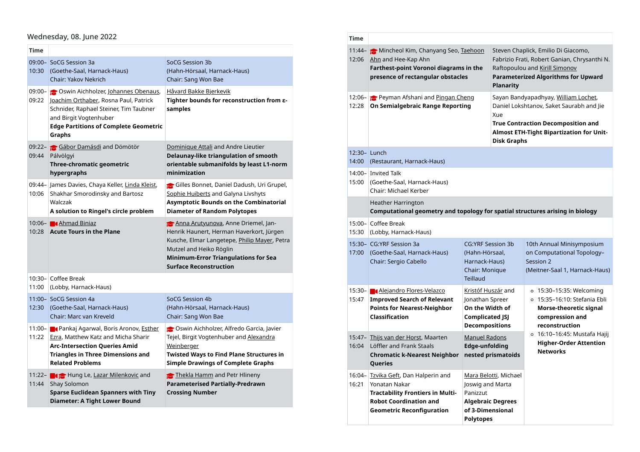#### Wednesday, 08. June 2022

| Time<br>10:30      | 09:00- SoCG Session 3a<br>(Goethe-Saal, Harnack-Haus)<br>Chair: Yakov Nekrich                                                                                                                                       | SoCG Session 3b<br>(Hahn-Hörsaal, Harnack-Haus)<br>Chair: Sang Won Bae                                                                                                                                   |                    | 11:44- Mincheol Kim, Chanyang Se<br>12:06 Ahn and Hee-Kap Ahn<br>Farthest-point Voronoi diagr<br>presence of rectangular obst                                |
|--------------------|---------------------------------------------------------------------------------------------------------------------------------------------------------------------------------------------------------------------|----------------------------------------------------------------------------------------------------------------------------------------------------------------------------------------------------------|--------------------|--------------------------------------------------------------------------------------------------------------------------------------------------------------|
| $09:00 -$<br>09:22 | <b>S</b> Oswin Aichholzer, Johannes Obenaus,<br>Joachim Orthaber, Rosna Paul, Patrick<br>Schnider, Raphael Steiner, Tim Taubner<br>and Birgit Vogtenhuber<br><b>Edge Partitions of Complete Geometric</b><br>Graphs | <u>Håvard Bakke Bjerkevik</u><br>Tighter bounds for reconstruction from $\varepsilon$ -<br>samples                                                                                                       | 12:28              | 12:06- Peyman Afshani and Pingal<br>On Semialgebraic Range Rep                                                                                               |
| 09:44              | 09:22- Gábor Damásdi and Dömötör<br>Pálvölgyi<br>Three-chromatic geometric<br>hypergraphs                                                                                                                           | Dominique Attali and Andre Lieutier<br>Delaunay-like triangulation of smooth<br>orientable submanifolds by least L1-norm<br>minimization                                                                 | 14:00              | 12:30- Lunch<br>(Restaurant, Harnack-Haus)<br>14:00- Invited Talk                                                                                            |
| 10:06              | 09:44- James Davies, Chaya Keller, Linda Kleist,<br>Shakhar Smorodinsky and Bartosz                                                                                                                                 | Gilles Bonnet, Daniel Dadush, Uri Grupel,<br>Sophie Huiberts and Galyna Livshyts                                                                                                                         | 15:00              | (Goethe-Saal, Harnack-Haus)<br>Chair: Michael Kerber                                                                                                         |
|                    | Walczak<br>A solution to Ringel's circle problem                                                                                                                                                                    | <b>Asymptotic Bounds on the Combinatorial</b><br><b>Diameter of Random Polytopes</b>                                                                                                                     |                    | <b>Heather Harrington</b><br><b>Computational geometry an</b>                                                                                                |
|                    | 10:06- <b>1</b> Ahmad Biniaz<br>10:28 Acute Tours in the Plane                                                                                                                                                      | Anna Arutyunova, Anne Driemel, Jan-<br>Henrik Haunert, Herman Haverkort, Jürgen                                                                                                                          | $15:00 -$<br>15:30 | Coffee Break<br>(Lobby, Harnack-Haus)                                                                                                                        |
|                    |                                                                                                                                                                                                                     | Kusche, Elmar Langetepe, Philip Mayer, Petra<br>Mutzel and Heiko Röglin<br><b>Minimum-Error Triangulations for Sea</b><br><b>Surface Reconstruction</b>                                                  |                    | 15:30- CG:YRF Session 3a<br>17:00 (Goethe-Saal, Harnack-Haus)<br>Chair: Sergio Cabello                                                                       |
| $10:30 -$<br>11:00 | Coffee Break<br>(Lobby, Harnack-Haus)                                                                                                                                                                               |                                                                                                                                                                                                          |                    | 15:30- <b>4</b> Alejandro Flores-Velazco                                                                                                                     |
| 12:30              | 11:00-SoCG Session 4a<br>(Goethe-Saal, Harnack-Haus)<br>Chair: Marc van Kreveld                                                                                                                                     | SoCG Session 4b<br>(Hahn-Hörsaal, Harnack-Haus)<br>Chair: Sang Won Bae                                                                                                                                   | 15:47              | <b>Improved Search of Relevant</b><br><b>Points for Nearest-Neighbor</b><br>Classification                                                                   |
| $11:00 -$<br>11:22 | <b>Pankaj Agarwal, Boris Aronov, Esther</b><br>Ezra, Matthew Katz and Micha Sharir<br><b>Arc-Intersection Queries Amid</b><br><b>Triangles in Three Dimensions and</b><br><b>Related Problems</b>                   | Oswin Aichholzer, Alfredo Garcia, Javier<br>Tejel, Birgit Vogtenhuber and Alexandra<br><u>Weinberger</u><br><b>Twisted Ways to Find Plane Structures in</b><br><b>Simple Drawings of Complete Graphs</b> | 16:04              | 15:47- Thijs van der Horst, Maarten<br>Löffler and Frank Staals<br><b>Chromatic k-Nearest Neighb</b><br>Queries                                              |
|                    | 11:22- <b>1 1</b> Hung Le, Lazar Milenkovic and<br>11:44 Shay Solomon<br><b>Sparse Euclidean Spanners with Tiny</b><br><b>Diameter: A Tight Lower Bound</b>                                                         | Thekla Hamm and Petr Hlineny<br><b>Parameterised Partially-Predrawn</b><br><b>Crossing Number</b>                                                                                                        | $16:04-$<br>16:21  | Tzvika Geft, Dan Halperin and<br>Yonatan Nakar<br><b>Tractability Frontiers in Mult</b><br><b>Robot Coordination and</b><br><b>Geometric Reconfiguration</b> |

| <b>Time</b> |                                                                                                                                                                       |                                                                                                                    |                                                   |                                                                                                                                                                           |
|-------------|-----------------------------------------------------------------------------------------------------------------------------------------------------------------------|--------------------------------------------------------------------------------------------------------------------|---------------------------------------------------|---------------------------------------------------------------------------------------------------------------------------------------------------------------------------|
| 12:06       | 11:44- Mincheol Kim, Chanyang Seo, Taehoon<br>Ahn and Hee-Kap Ahn<br><b>Farthest-point Voronoi diagrams in the</b><br>presence of rectangular obstacles               |                                                                                                                    |                                                   | Steven Chaplick, Emilio Di Giacomo,<br>Fabrizio Frati, Robert Ganian, Chrysanthi N.<br>Raftopoulou and Kirill Simonov<br>Parameterized Algorithms for Upward              |
| 12:28       | 12:06- Peyman Afshani and Pingan Cheng<br>On Semialgebraic Range Reporting                                                                                            |                                                                                                                    | Xue<br><b>Disk Graphs</b>                         | Sayan Bandyapadhyay, William Lochet,<br>Daniel Lokshtanov, Saket Saurabh and Jie<br><b>True Contraction Decomposition and</b><br>Almost ETH-Tight Bipartization for Unit- |
| 14:00       | 12:30-Lunch<br>(Restaurant, Harnack-Haus)                                                                                                                             |                                                                                                                    |                                                   |                                                                                                                                                                           |
| 15:00       | 14:00- Invited Talk<br>(Goethe-Saal, Harnack-Haus)<br>Chair: Michael Kerber                                                                                           |                                                                                                                    |                                                   |                                                                                                                                                                           |
|             | <b>Heather Harrington</b><br>Computational geometry and topology for spatial structures arising in biology                                                            |                                                                                                                    |                                                   |                                                                                                                                                                           |
| 15:30       | 15:00- Coffee Break<br>(Lobby, Harnack-Haus)                                                                                                                          |                                                                                                                    |                                                   |                                                                                                                                                                           |
| 17:00       | 15:30– CG:YRF Session 3a<br>(Goethe-Saal, Harnack-Haus)<br>Chair: Sergio Cabello                                                                                      | <b>CG:YRF Session 3b</b><br>(Hahn-Hörsaal,<br>Harnack-Haus)<br>Chair: Monique<br><b>Teillaud</b>                   |                                                   | 10th Annual Minisymposium<br>on Computational Topology-<br>Session 2<br>(Meitner-Saal 1, Harnack-Haus)                                                                    |
| 15:47       | 15:30- <b>4</b> Alejandro Flores-Velazco<br><b>Improved Search of Relevant</b><br><b>Points for Nearest-Neighbor</b><br>Classification                                | <u>Kristóf Huszár</u> and<br>Jonathan Spreer<br>On the Width of<br><b>Complicated JSJ</b><br><b>Decompositions</b> |                                                   | $\circ$ 15:30–15:35: Welcoming<br>○ 15:35-16:10: Stefania Ebli<br>Morse-theoretic signal<br>compression and<br>reconstruction                                             |
| 16:04       | 15:47- Thijs van der Horst, Maarten<br>Löffler and Frank Staals<br><b>Chromatic k-Nearest Neighbor</b><br>Queries                                                     | <b>Manuel Radons</b><br><b>Edge-unfolding</b>                                                                      | nested prismatoids                                | $\circ$ 16:10-16:45: Mustafa Hajij<br><b>Higher-Order Attention</b><br><b>Networks</b>                                                                                    |
| 16:21       | 16:04- Tzvika Geft, Dan Halperin and<br>Yonatan Nakar<br><b>Tractability Frontiers in Multi-</b><br><b>Robot Coordination and</b><br><b>Geometric Reconfiguration</b> | Joswig and Marta<br>Panizzut<br>of 3-Dimensional<br><b>Polytopes</b>                                               | Mara Belotti, Michael<br><b>Algebraic Degrees</b> |                                                                                                                                                                           |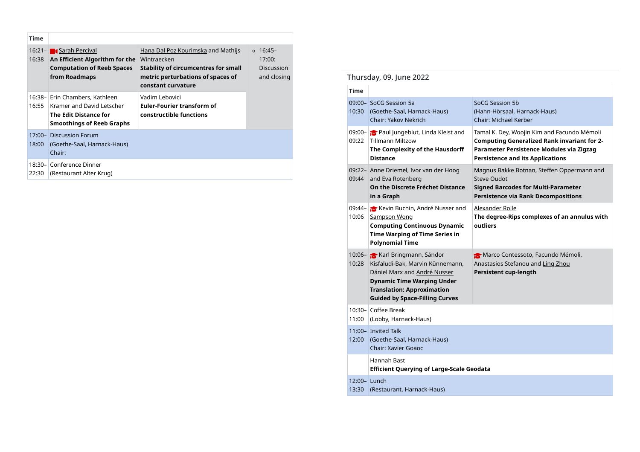| <b>Time</b>        |                                                                                                                          |                                                                                                                                                             |                                                          |
|--------------------|--------------------------------------------------------------------------------------------------------------------------|-------------------------------------------------------------------------------------------------------------------------------------------------------------|----------------------------------------------------------|
| $16:21 -$<br>16:38 | <b>Carah Percival</b><br>An Efficient Algorithm for the<br><b>Computation of Reeb Spaces</b><br>from Roadmaps            | Hana Dal Poz Kourimska and Mathijs<br>Wintraecken<br><b>Stability of circumcentres for small</b><br>metric perturbations of spaces of<br>constant curvature | $0.16:45-$<br>17:00:<br><b>Discussion</b><br>and closing |
| $16:38-$<br>16:55  | Erin Chambers, Kathleen<br>Kramer and David Letscher<br><b>The Edit Distance for</b><br><b>Smoothings of Reeb Graphs</b> | Vadim Lebovici<br><b>Euler-Fourier transform of</b><br>constructible functions                                                                              |                                                          |
| 18:00              | 17:00- Discussion Forum<br>(Goethe-Saal, Harnack-Haus)<br>Chair:                                                         |                                                                                                                                                             |                                                          |
|                    |                                                                                                                          |                                                                                                                                                             |                                                          |

## Thursday, 09. June 2022

| <u>rei civai</u><br><b>nt Algorithm for the</b> Wintraecken<br>tion of Reeb Spaces | <u>Hana Dai'r Uz Rudinniska</u> and Mathijs<br><b>Stability of circumcentres for small</b> | 17:00:<br><b>Discussion</b> |             |                                                                                                                                                                                                                            |                                                                                                                                                                                          |
|------------------------------------------------------------------------------------|--------------------------------------------------------------------------------------------|-----------------------------|-------------|----------------------------------------------------------------------------------------------------------------------------------------------------------------------------------------------------------------------------|------------------------------------------------------------------------------------------------------------------------------------------------------------------------------------------|
| ıdmaps                                                                             | metric perturbations of spaces of                                                          | and closing                 |             | Thursday, 09. June 2022                                                                                                                                                                                                    |                                                                                                                                                                                          |
|                                                                                    | constant curvature                                                                         |                             | <b>Time</b> |                                                                                                                                                                                                                            |                                                                                                                                                                                          |
| nbers, <u>Kathleen</u><br>nd David Letscher<br>Distance for<br>າgs of Reeb Graphs  | Vadim Lebovici<br><b>Euler-Fourier transform of</b><br>constructible functions             |                             |             | 09:00- SoCG Session 5a<br>10:30 (Goethe-Saal, Harnack-Haus)<br><b>Chair: Yakov Nekrich</b>                                                                                                                                 | SoCG Session 5b<br>(Hahn-Hörsaal, Harnack-Haus)<br>Chair: Michael Kerber                                                                                                                 |
| n Forum<br>Saal, Harnack-Haus)                                                     |                                                                                            |                             |             | 09:00- Paul Jungeblut, Linda Kleist and<br>09:22   Tillmann Miltzow<br>The Complexity of the Hausdorff<br><b>Distance</b>                                                                                                  | Tamal K. Dey, Woojin Kim and Facundo Mémoli<br><b>Computing Generalized Rank invariant for 2-</b><br>Parameter Persistence Modules via Zigzag<br><b>Persistence and its Applications</b> |
| ce Dinner<br>nt Alter Krug)                                                        |                                                                                            |                             |             | 09:22- Anne Driemel, Ivor van der Hoog<br>09:44 and Eva Rotenberg<br>On the Discrete Fréchet Distance<br>in a Graph                                                                                                        | Magnus Bakke Botnan, Steffen Oppermann and<br><b>Steve Oudot</b><br><b>Signed Barcodes for Multi-Parameter</b><br><b>Persistence via Rank Decompositions</b>                             |
|                                                                                    |                                                                                            |                             |             | 09:44- Kevin Buchin, André Nusser and<br>10:06 Sampson Wong<br><b>Computing Continuous Dynamic</b><br>Time Warping of Time Series in<br><b>Polynomial Time</b>                                                             | Alexander Rolle<br>The degree-Rips complexes of an annulus with<br>outliers                                                                                                              |
|                                                                                    |                                                                                            |                             |             | 10:06- Karl Bringmann, Sándor<br>10:28 Kisfaludi-Bak, Marvin Künnemann,<br>Dániel Marx and André Nusser<br><b>Dynamic Time Warping Under</b><br><b>Translation: Approximation</b><br><b>Guided by Space-Filling Curves</b> | Marco Contessoto, Facundo Mémoli,<br>Anastasios Stefanou and Ling Zhou<br>Persistent cup-length                                                                                          |
|                                                                                    |                                                                                            |                             | 11:00       | 10:30- Coffee Break<br>(Lobby, Harnack-Haus)                                                                                                                                                                               |                                                                                                                                                                                          |
|                                                                                    |                                                                                            |                             |             | 11:00- Invited Talk<br>12:00 (Goethe-Saal, Harnack-Haus)<br><b>Chair: Xavier Goaoc</b>                                                                                                                                     |                                                                                                                                                                                          |
|                                                                                    |                                                                                            |                             |             | Hannah Bast<br><b>Efficient Querying of Large-Scale Geodata</b>                                                                                                                                                            |                                                                                                                                                                                          |
|                                                                                    |                                                                                            |                             |             | 12:00-Lunch<br>13:30 (Restaurant, Harnack-Haus)                                                                                                                                                                            |                                                                                                                                                                                          |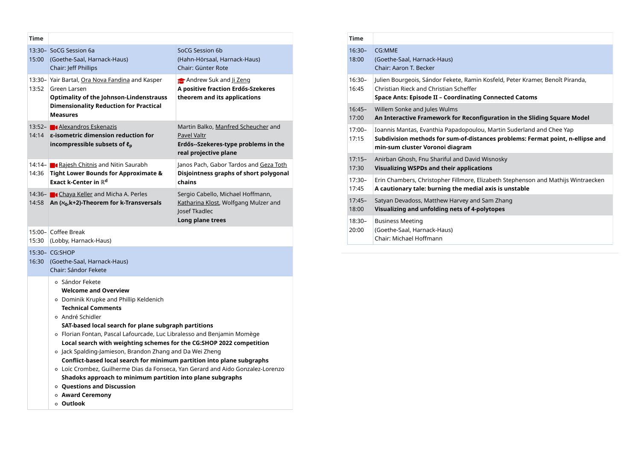| Time  |                                                                                                                                                                                                                                                                                                                                                                                                                                                                                                                                                                                                                                                                                                            |                                                                                                                            |
|-------|------------------------------------------------------------------------------------------------------------------------------------------------------------------------------------------------------------------------------------------------------------------------------------------------------------------------------------------------------------------------------------------------------------------------------------------------------------------------------------------------------------------------------------------------------------------------------------------------------------------------------------------------------------------------------------------------------------|----------------------------------------------------------------------------------------------------------------------------|
| 15:00 | 13:30– SoCG Session 6a<br>(Goethe-Saal, Harnack-Haus)<br>Chair: Jeff Phillips                                                                                                                                                                                                                                                                                                                                                                                                                                                                                                                                                                                                                              | SoCG Session 6b<br>(Hahn-Hörsaal, Harnack-Haus)<br>Chair: Günter Rote                                                      |
| 13:52 | 13:30- Yair Bartal, Ora Nova Fandina and Kasper<br>Green Larsen<br><b>Optimality of the Johnson-Lindenstrauss</b>                                                                                                                                                                                                                                                                                                                                                                                                                                                                                                                                                                                          | Andrew Suk and Ji Zeng<br>A positive fraction Erdős-Szekeres<br>theorem and its applications                               |
|       | <b>Dimensionality Reduction for Practical</b><br><b>Measures</b>                                                                                                                                                                                                                                                                                                                                                                                                                                                                                                                                                                                                                                           |                                                                                                                            |
|       | 13:52- ■ Alexandros Eskenazis<br>14:14 $\epsilon$ -isometric dimension reduction for<br>incompressible subsets of $\mathfrak{e}_p$                                                                                                                                                                                                                                                                                                                                                                                                                                                                                                                                                                         | Martin Balko, Manfred Scheucher and<br><b>Pavel Valtr</b><br>Erdős--Szekeres-type problems in the<br>real projective plane |
| 14:36 | 14:14- <b>C</b> Rajesh Chitnis and Nitin Saurabh<br><b>Tight Lower Bounds for Approximate &amp;</b>                                                                                                                                                                                                                                                                                                                                                                                                                                                                                                                                                                                                        | Janos Pach, Gabor Tardos and Geza Toth<br>Disjointness graphs of short polygonal                                           |
|       | Exact k-Center in $\mathbb{R}^{\mathsf{d}}$                                                                                                                                                                                                                                                                                                                                                                                                                                                                                                                                                                                                                                                                | chains                                                                                                                     |
|       | 14:36- Chaya Keller and Micha A. Perles<br>14:58 An (x <sub>0</sub> ,k+2)-Theorem for k-Transversals                                                                                                                                                                                                                                                                                                                                                                                                                                                                                                                                                                                                       | Sergio Cabello, Michael Hoffmann,<br>Katharina Klost, Wolfgang Mulzer and<br>Josef Tkadlec                                 |
| 15:30 | 15:00- Coffee Break<br>(Lobby, Harnack-Haus)                                                                                                                                                                                                                                                                                                                                                                                                                                                                                                                                                                                                                                                               | Long plane trees                                                                                                           |
|       | 15:30- CG:SHOP<br>16:30 (Goethe-Saal, Harnack-Haus)<br>Chair: Sándor Fekete                                                                                                                                                                                                                                                                                                                                                                                                                                                                                                                                                                                                                                |                                                                                                                            |
|       | ○ Sándor Fekete<br><b>Welcome and Overview</b><br>○ Dominik Krupke and Phillip Keldenich<br><b>Technical Comments</b><br>o André Schidler<br>SAT-based local search for plane subgraph partitions<br>o Florian Fontan, Pascal Lafourcade, Luc Libralesso and Benjamin Momège<br>Local search with weighting schemes for the CG:SHOP 2022 competition<br>o Jack Spalding-Jamieson, Brandon Zhang and Da Wei Zheng<br>Conflict-based local search for minimum partition into plane subgraphs<br>o Loïc Crombez, Guilherme Dias da Fonseca, Yan Gerard and Aido Gonzalez-Lorenzo<br>Shadoks approach to minimum partition into plane subgraphs<br>o Questions and Discussion<br>○ Award Ceremony<br>○ Outlook |                                                                                                                            |

|                                                                      | <b>Time</b>        |                                                                                                                                                                                           |
|----------------------------------------------------------------------|--------------------|-------------------------------------------------------------------------------------------------------------------------------------------------------------------------------------------|
| on 6b<br>aal, Harnack-Haus)<br>er Rote                               | $16:30-$<br>18:00  | CG:MME<br>(Goethe-Saal, Harnack-Haus)<br>Chair: Aaron T. Becker                                                                                                                           |
| Suk and Ji Zeng<br>fraction Erdős-Szekeres<br>nd its applications    | $16:30-$<br>16:45  | Julien Bourgeois, Sándor Fekete, Ramin Kosfeld, Peter Kramer, Benoît Piranda,<br>Christian Rieck and Christian Scheffer<br>Space Ants: Episode II - Coordinating Connected Catoms         |
|                                                                      | $16:45-$<br>17:00  | Willem Sonke and Jules Wulms<br>An Interactive Framework for Reconfiguration in the Sliding Square Model                                                                                  |
| o, Manfred Scheucher and<br>keres-type problems in the<br>tive plane | $17:00 -$<br>17:15 | Ioannis Mantas, Evanthia Papadopoulou, Martin Suderland and Chee Yap<br>Subdivision methods for sum-of-distances problems: Fermat point, n-ellipse and<br>min-sum cluster Voronoi diagram |
| Gabor Tardos and Geza Toth<br>ss graphs of short polygonal           | $17:15-$<br>17:30  | Anirban Ghosh, Fnu Shariful and David Wisnosky<br><b>Visualizing WSPDs and their applications</b>                                                                                         |
|                                                                      | $17:30-$<br>17:45  | Erin Chambers, Christopher Fillmore, Elizabeth Stephenson and Mathijs Wintraecken<br>A cautionary tale: burning the medial axis is unstable                                               |
| ello, Michael Hoffmann,<br>(lost, Wolfgang Mulzer and<br>эc          | $17:45-$<br>18:00  | Satyan Devadoss, Matthew Harvey and Sam Zhang<br>Visualizing and unfolding nets of 4-polytopes                                                                                            |
| e trees                                                              | $18:30-$<br>20:00  | <b>Business Meeting</b><br>(Goethe-Saal, Harnack-Haus)<br>Chair: Michael Hoffmann                                                                                                         |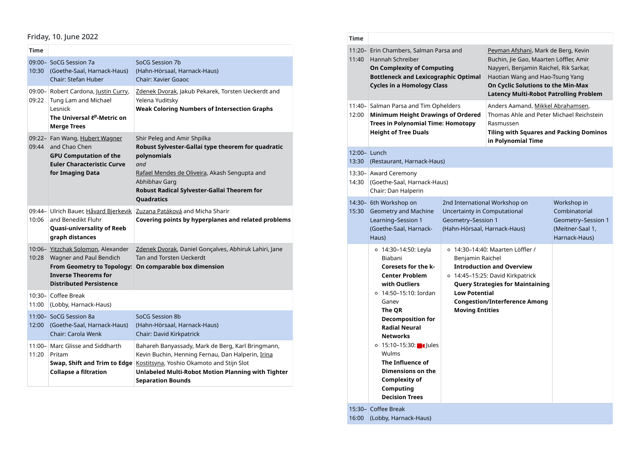#### Friday, 10. June 2022

| Time               |                                                                                                                                       |                                                                                                                                                                                                                                                                      |       | 11:20- Erin Chambers, Salmar                                                                                  |  |
|--------------------|---------------------------------------------------------------------------------------------------------------------------------------|----------------------------------------------------------------------------------------------------------------------------------------------------------------------------------------------------------------------------------------------------------------------|-------|---------------------------------------------------------------------------------------------------------------|--|
| 10:30              | 09:00-SoCG Session 7a<br>(Goethe-Saal, Harnack-Haus)<br>Chair: Stefan Huber                                                           | SoCG Session 7b<br>(Hahn-Hörsaal, Harnack-Haus)<br><b>Chair: Xavier Goaoc</b>                                                                                                                                                                                        | 11:40 | Hannah Schreiber<br><b>On Complexity of Cor</b><br><b>Bottleneck and Lexic</b><br><b>Cycles in a Homology</b> |  |
| $09:00 -$<br>09:22 | Robert Cardona, Justin Curry,<br>Tung Lam and Michael<br>Lesnick<br>The Universal ℓ <sup>p</sup> -Metric on<br><b>Merge Trees</b>     | Zdenek Dvorak, Jakub Pekarek, Torsten Ueckerdt and<br>Yelena Yuditsky<br><b>Weak Coloring Numbers of Intersection Graphs</b>                                                                                                                                         | 12:00 | 11:40- Salman Parsa and Tim<br><b>Minimum Height Dra</b><br><b>Trees in Polynomial T</b>                      |  |
|                    | 09:22- Fan Wang, Hubert Wagner<br>09:44 and Chao Chen<br><b>GPU Computation of the</b><br><b>Euler Characteristic Curve</b>           | Shir Peleg and Amir Shpilka<br>Robust Sylvester-Gallai type theorem for quadratic<br>polynomials<br>and                                                                                                                                                              | 13:30 | <b>Height of Tree Duals</b><br>12:00- Lunch<br>(Restaurant, Harnack-I                                         |  |
|                    | for Imaging Data                                                                                                                      | Rafael Mendes de Oliveira, Akash Sengupta and<br>Abhibhay Garg<br>Robust Radical Sylvester-Gallai Theorem for<br>Quadratics                                                                                                                                          | 14:30 | 13:30- Award Ceremony<br>(Goethe-Saal, Harnack<br>Chair: Dan Halperin                                         |  |
| 09:44-<br>10:06    | Ulrich Bauer, Håvard Bjerkevik<br>and Benedikt Fluhr<br>Quasi-universality of Reeb<br>graph distances                                 | Zuzana Patáková and Micha Sharir<br>Covering points by hyperplanes and related problems                                                                                                                                                                              | 15:30 | 14:30- 6th Workshop on<br><b>Geometry and Machin</b><br>Learning-Session 1<br>(Goethe-Saal, Harnack<br>Haus)  |  |
| 10:28              | 10:06- Yitzchak Solomon, Alexander<br><b>Wagner and Paul Bendich</b><br><b>Inverse Theorems for</b><br><b>Distributed Persistence</b> | Zdenek Dvorak, Daniel Gonçalves, Abhiruk Lahiri, Jane<br>Tan and Torsten Ueckerdt<br>From Geometry to Topology: On comparable box dimension                                                                                                                          |       | ∘ 14:30–14:50: Leyla<br>Biabani<br>Coresets for the I<br><b>Center Problem</b><br>with Outliers               |  |
| $10:30-$<br>11:00  | Coffee Break<br>(Lobby, Harnack-Haus)                                                                                                 |                                                                                                                                                                                                                                                                      |       | ○ 14:50-15:10: Iorda<br>Ganev                                                                                 |  |
| 12:00              | 11:00– SoCG Session 8a<br>(Goethe-Saal, Harnack-Haus)<br>Chair: Carola Wenk                                                           | SoCG Session 8b<br>(Hahn-Hörsaal, Harnack-Haus)<br>Chair: David Kirkpatrick                                                                                                                                                                                          |       | The QR<br><b>Decomposition fo</b><br><b>Radial Neural</b><br><b>Networks</b>                                  |  |
| $11:00 -$<br>11:20 | Marc Glisse and Siddharth<br>Pritam<br><b>Collapse a filtration</b>                                                                   | Bahareh Banyassady, Mark de Berg, Karl Bringmann,<br>Kevin Buchin, Henning Fernau, Dan Halperin, Irina<br>Swap, Shift and Trim to Edge   Kostitsyna, Yoshio Okamoto and Stijn Slot<br>Unlabeled Multi-Robot Motion Planning with Tighter<br><b>Separation Bounds</b> |       | $\circ$ 15:10-15:30: 1<br>Wulms<br>The Influence of<br>Dimensions on th<br><b>Complexity of</b>               |  |

| 2022                                                                     |                                                                                                                                                                                                                                       | <b>Time</b>                               |                                                                                                                                                                                           |                                                                                                                            |                                                                                                                                                                                                                                                   |                                                                                         |
|--------------------------------------------------------------------------|---------------------------------------------------------------------------------------------------------------------------------------------------------------------------------------------------------------------------------------|-------------------------------------------|-------------------------------------------------------------------------------------------------------------------------------------------------------------------------------------------|----------------------------------------------------------------------------------------------------------------------------|---------------------------------------------------------------------------------------------------------------------------------------------------------------------------------------------------------------------------------------------------|-----------------------------------------------------------------------------------------|
| วท 7a<br>al, Harnack-Haus)<br>n Huber<br>dona, <u>Justin Curry</u> ,     | SoCG Session 7b<br>(Hahn-Hörsaal, Harnack-Haus)<br>Chair: Xavier Goaoc<br>Zdenek Dvorak, Jakub Pekarek, Torsten Ueckerdt and                                                                                                          |                                           | 11:20- Erin Chambers, Salman Parsa and<br>11:40 Hannah Schreiber<br><b>On Complexity of Computing</b><br><b>Bottleneck and Lexicographic Optimal</b><br><b>Cycles in a Homology Class</b> |                                                                                                                            | Peyman Afshani, Mark de Berg, Kevin<br>Buchin, Jie Gao, Maarten Löffler, Amir<br>Nayyeri, Benjamin Raichel, Rik Sarkar,<br>Haotian Wang and Hao-Tsung Yang<br>On Cyclic Solutions to the Min-Max<br><b>Latency Multi-Robot Patrolling Problem</b> |                                                                                         |
| ınd Michael<br>ˈsal ℓ <sup>p</sup> -Metric on<br>Hubert Wagner           | Yelena Yuditsky<br><b>Weak Coloring Numbers of Intersection Graphs</b><br>Shir Peleg and Amir Shpilka                                                                                                                                 | 12:00                                     | 11:40-Salman Parsa and Tim Ophelders<br><b>Minimum Height Drawings of Ordered</b><br><b>Trees in Polynomial Time: Homotopy</b><br><b>Height of Tree Duals</b>                             |                                                                                                                            | Anders Aamand, Mikkel Abrahamsen,<br>Thomas Ahle and Peter Michael Reichstein<br>Rasmussen<br><b>Tiling with Squares and Packing Dominos</b>                                                                                                      |                                                                                         |
| hen<br>utation of the<br>acteristic Curve<br>g Data                      | Robust Sylvester-Gallai type theorem for quadratic<br>polynomials<br>and<br>Rafael Mendes de Oliveira, Akash Sengupta and<br>Abhibhav Garg                                                                                            | 12:00-Lunch<br>13:30<br>$13:30-$<br>14:30 | (Restaurant, Harnack-Haus)<br><b>Award Ceremony</b><br>(Goethe-Saal, Harnack-Haus)                                                                                                        |                                                                                                                            | in Polynomial Time                                                                                                                                                                                                                                |                                                                                         |
| r, <u>Håvard Bjerkevik</u><br>kt Fluhr<br>ersality of Reeb<br>ances      | Robust Radical Sylvester-Gallai Theorem for<br>Quadratics<br>Zuzana Patáková and Micha Sharir<br>Covering points by hyperplanes and related problems                                                                                  | 15:30                                     | Chair: Dan Halperin<br>14:30- 6th Workshop on<br><b>Geometry and Machine</b><br>Learning-Session 1<br>(Goethe-Saal, Harnack-<br>Haus)                                                     | 2nd International Workshop on<br><b>Uncertainty in Computational</b><br>Geometry-Session 1<br>(Hahn-Hörsaal, Harnack-Haus) |                                                                                                                                                                                                                                                   | Workshop in<br>Combinatorial<br>Geometry-Session 1<br>(Meitner-Saal 1,<br>Harnack-Haus) |
| lomon, Alexander<br>d Paul Bendich<br>eorems for<br>d Persistence<br>ık. | Zdenek Dvorak, Daniel Gonçalves, Abhiruk Lahiri, Jane<br>Tan and Torsten Ueckerdt<br>netry to Topology: On comparable box dimension                                                                                                   |                                           | o 14:30-14:50: Leyla<br>Biabani<br>Coresets for the k-<br><b>Center Problem</b><br>with Outliers<br>○ 14:50–15:10: Iordan                                                                 | Benjamin Raichel<br><b>Low Potential</b>                                                                                   | ○ 14:30–14:40: Maarten Löffler /<br><b>Introduction and Overview</b><br>o 14:45-15:25: David Kirkpatrick<br><b>Query Strategies for Maintaining</b>                                                                                               |                                                                                         |
| nack-Haus)<br>วท 8a<br>al, Harnack-Haus)<br>la Wenk                      | SoCG Session 8b<br>(Hahn-Hörsaal, Harnack-Haus)<br>Chair: David Kirkpatrick                                                                                                                                                           |                                           | Ganev<br>The QR<br><b>Decomposition for</b><br><b>Radial Neural</b><br><b>Networks</b>                                                                                                    | <b>Congestion/Interference Among</b><br><b>Moving Entities</b>                                                             |                                                                                                                                                                                                                                                   |                                                                                         |
| and Siddharth<br>t and Trim to Edge  <br>filtration                      | Bahareh Banyassady, Mark de Berg, Karl Bringmann,<br>Kevin Buchin, Henning Fernau, Dan Halperin, Irina<br>Kostitsyna, Yoshio Okamoto and Stijn Slot<br>Unlabeled Multi-Robot Motion Planning with Tighter<br><b>Separation Bounds</b> |                                           | $\circ$ 15:10-15:30:   ∪  Jules<br>Wulms<br>The Influence of<br>Dimensions on the<br><b>Complexity of</b><br>Computing                                                                    |                                                                                                                            |                                                                                                                                                                                                                                                   |                                                                                         |
|                                                                          |                                                                                                                                                                                                                                       |                                           | <b>Decision Trees</b><br>15:30- Coffee Break                                                                                                                                              |                                                                                                                            |                                                                                                                                                                                                                                                   |                                                                                         |

16:00 (Lobby, Harnack-Haus)